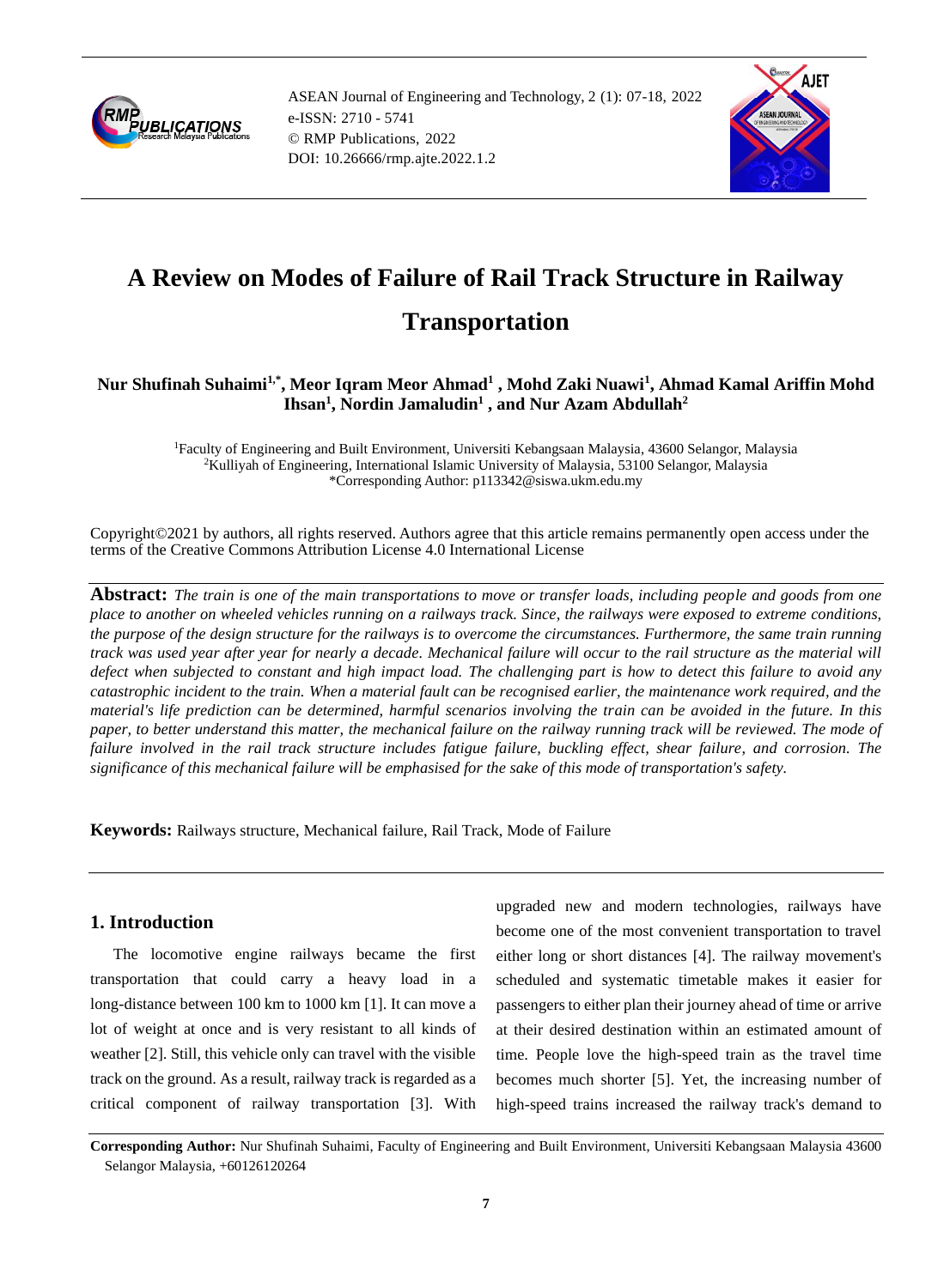

ASEAN Journal of Engineering and Technology, 2 (1): 07-18, 2022 e-ISSN: 2710 - 5741 © RMP Publications, 2022 DOI: 10.26666/rmp.ajte.2022.1.2



# **A Review on Modes of Failure of Rail Track Structure in Railway Transportation**

## **Nur Shufinah Suhaimi1,\* , Meor Iqram Meor Ahmad<sup>1</sup> , Mohd Zaki Nuawi<sup>1</sup> , Ahmad Kamal Ariffin Mohd Ihsan<sup>1</sup> , Nordin Jamaludin<sup>1</sup> , and Nur Azam Abdullah<sup>2</sup>**

<sup>1</sup>Faculty of Engineering and Built Environment, Universiti Kebangsaan Malaysia, 43600 Selangor, Malaysia <sup>2</sup>Kulliyah of Engineering, International Islamic University of Malaysia, 53100 Selangor, Malaysia \*Corresponding Author: p113342@siswa.ukm.edu.my

Copyright©2021 by authors, all rights reserved. Authors agree that this article remains permanently open access under the terms of the Creative Commons Attribution License 4.0 International License

**Abstract:** *The train is one of the main transportations to move or transfer loads, including people and goods from one place to another on wheeled vehicles running on a railways track. Since, the railways were exposed to extreme conditions, the purpose of the design structure for the railways is to overcome the circumstances. Furthermore, the same train running track was used year after year for nearly a decade. Mechanical failure will occur to the rail structure as the material will defect when subjected to constant and high impact load. The challenging part is how to detect this failure to avoid any catastrophic incident to the train. When a material fault can be recognised earlier, the maintenance work required, and the material's life prediction can be determined, harmful scenarios involving the train can be avoided in the future. In this paper, to better understand this matter, the mechanical failure on the railway running track will be reviewed. The mode of failure involved in the rail track structure includes fatigue failure, buckling effect, shear failure, and corrosion. The significance of this mechanical failure will be emphasised for the sake of this mode of transportation's safety.*

**Keywords:** Railways structure, Mechanical failure, Rail Track, Mode of Failure

## **1. Introduction**

The locomotive engine railways became the first transportation that could carry a heavy load in a long-distance between 100 km to 1000 km [1]. It can move a lot of weight at once and is very resistant to all kinds of weather [2]. Still, this vehicle only can travel with the visible track on the ground. As a result, railway track is regarded as a critical component of railway transportation [3]. With

upgraded new and modern technologies, railways have become one of the most convenient transportation to travel either long or short distances [4]. The railway movement's scheduled and systematic timetable makes it easier for passengers to either plan their journey ahead of time or arrive at their desired destination within an estimated amount of time. People love the high-speed train as the travel time becomes much shorter [5]. Yet, the increasing number of high-speed trains increased the railway track's demand to

**Corresponding Author:** Nur Shufinah Suhaimi, Faculty of Engineering and Built Environment, Universiti Kebangsaan Malaysia 43600 Selangor Malaysia, +60126120264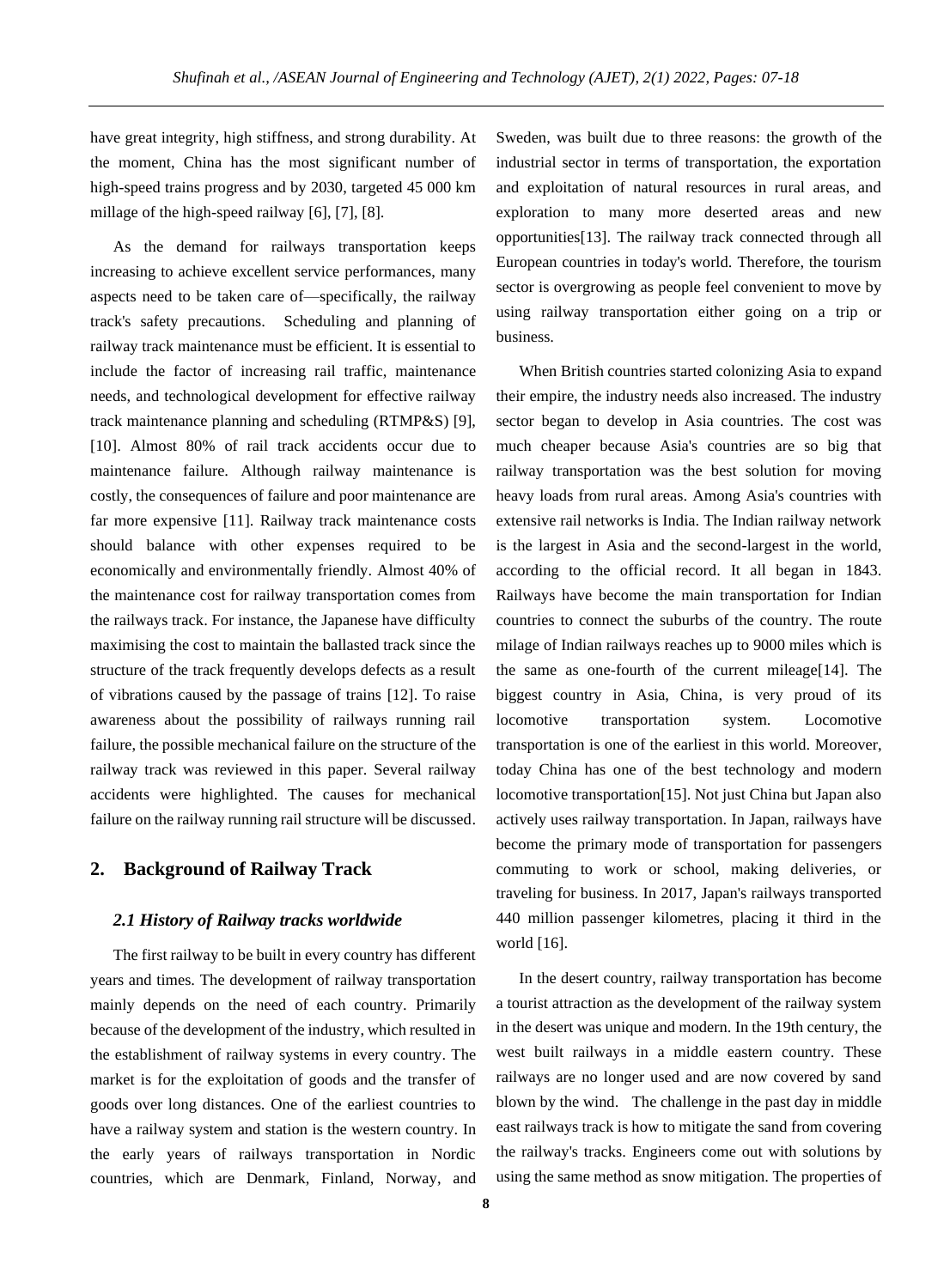have great integrity, high stiffness, and strong durability. At the moment, China has the most significant number of high-speed trains progress and by 2030, targeted 45 000 km millage of the high-speed railway [6], [7], [8].

As the demand for railways transportation keeps increasing to achieve excellent service performances, many aspects need to be taken care of—specifically, the railway track's safety precautions. Scheduling and planning of railway track maintenance must be efficient. It is essential to include the factor of increasing rail traffic, maintenance needs, and technological development for effective railway track maintenance planning and scheduling (RTMP&S) [9], [10]. Almost 80% of rail track accidents occur due to maintenance failure. Although railway maintenance is costly, the consequences of failure and poor maintenance are far more expensive [11]. Railway track maintenance costs should balance with other expenses required to be economically and environmentally friendly. Almost 40% of the maintenance cost for railway transportation comes from the railways track. For instance, the Japanese have difficulty maximising the cost to maintain the ballasted track since the structure of the track frequently develops defects as a result of vibrations caused by the passage of trains [12]. To raise awareness about the possibility of railways running rail failure, the possible mechanical failure on the structure of the railway track was reviewed in this paper. Several railway accidents were highlighted. The causes for mechanical failure on the railway running rail structure will be discussed.

## **2. Background of Railway Track**

#### *2.1 History of Railway tracks worldwide*

The first railway to be built in every country has different years and times. The development of railway transportation mainly depends on the need of each country. Primarily because of the development of the industry, which resulted in the establishment of railway systems in every country. The market is for the exploitation of goods and the transfer of goods over long distances. One of the earliest countries to have a railway system and station is the western country. In the early years of railways transportation in Nordic countries, which are Denmark, Finland, Norway, and

Sweden, was built due to three reasons: the growth of the industrial sector in terms of transportation, the exportation and exploitation of natural resources in rural areas, and exploration to many more deserted areas and new opportunities[13]. The railway track connected through all European countries in today's world. Therefore, the tourism sector is overgrowing as people feel convenient to move by using railway transportation either going on a trip or business.

When British countries started colonizing Asia to expand their empire, the industry needs also increased. The industry sector began to develop in Asia countries. The cost was much cheaper because Asia's countries are so big that railway transportation was the best solution for moving heavy loads from rural areas. Among Asia's countries with extensive rail networks is India. The Indian railway network is the largest in Asia and the second-largest in the world, according to the official record. It all began in 1843. Railways have become the main transportation for Indian countries to connect the suburbs of the country. The route milage of Indian railways reaches up to 9000 miles which is the same as one-fourth of the current mileage[14]. The biggest country in Asia, China, is very proud of its locomotive transportation system. Locomotive transportation is one of the earliest in this world. Moreover, today China has one of the best technology and modern locomotive transportation[15]. Not just China but Japan also actively uses railway transportation. In Japan, railways have become the primary mode of transportation for passengers commuting to work or school, making deliveries, or traveling for business. In 2017, Japan's railways transported 440 million passenger kilometres, placing it third in the world [16].

In the desert country, railway transportation has become a tourist attraction as the development of the railway system in the desert was unique and modern. In the 19th century, the west built railways in a middle eastern country. These railways are no longer used and are now covered by sand blown by the wind. The challenge in the past day in middle east railways track is how to mitigate the sand from covering the railway's tracks. Engineers come out with solutions by using the same method as snow mitigation. The properties of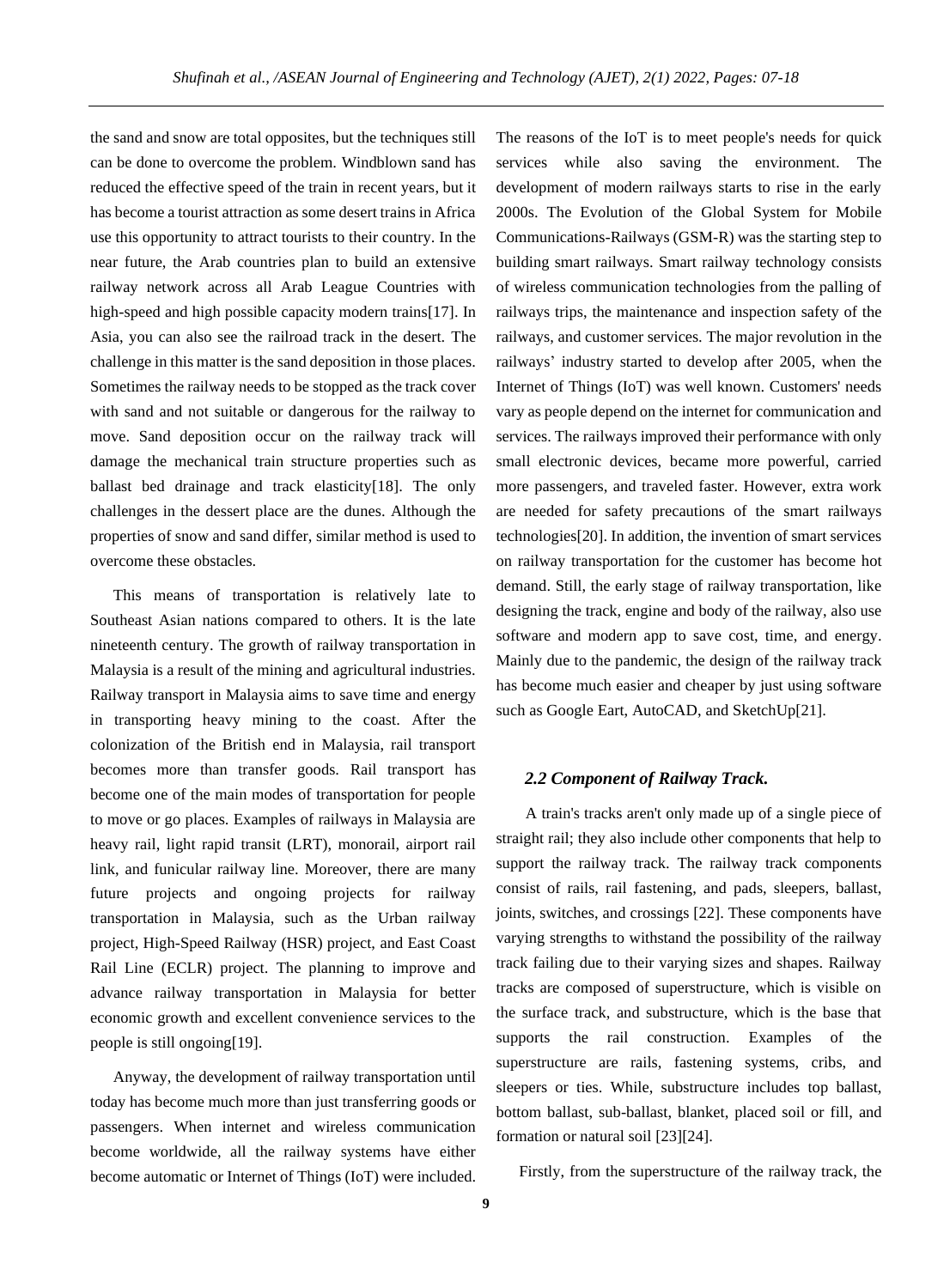the sand and snow are total opposites, but the techniques still can be done to overcome the problem. Windblown sand has reduced the effective speed of the train in recent years, but it has become a tourist attraction as some desert trains in Africa use this opportunity to attract tourists to their country. In the near future, the Arab countries plan to build an extensive railway network across all Arab League Countries with high-speed and high possible capacity modern trains [17]. In Asia, you can also see the railroad track in the desert. The challenge in this matter is the sand deposition in those places. Sometimes the railway needs to be stopped as the track cover with sand and not suitable or dangerous for the railway to move. Sand deposition occur on the railway track will damage the mechanical train structure properties such as ballast bed drainage and track elasticity[18]. The only challenges in the dessert place are the dunes. Although the properties of snow and sand differ, similar method is used to overcome these obstacles.

This means of transportation is relatively late to Southeast Asian nations compared to others. It is the late nineteenth century. The growth of railway transportation in Malaysia is a result of the mining and agricultural industries. Railway transport in Malaysia aims to save time and energy in transporting heavy mining to the coast. After the colonization of the British end in Malaysia, rail transport becomes more than transfer goods. Rail transport has become one of the main modes of transportation for people to move or go places. Examples of railways in Malaysia are heavy rail, light rapid transit (LRT), monorail, airport rail link, and funicular railway line. Moreover, there are many future projects and ongoing projects for railway transportation in Malaysia, such as the Urban railway project, High-Speed Railway (HSR) project, and East Coast Rail Line (ECLR) project. The planning to improve and advance railway transportation in Malaysia for better economic growth and excellent convenience services to the people is still ongoing[19].

Anyway, the development of railway transportation until today has become much more than just transferring goods or passengers. When internet and wireless communication become worldwide, all the railway systems have either become automatic or Internet of Things (IoT) were included.

The reasons of the IoT is to meet people's needs for quick services while also saving the environment. The development of modern railways starts to rise in the early 2000s. The Evolution of the Global System for Mobile Communications-Railways (GSM-R) was the starting step to building smart railways. Smart railway technology consists of wireless communication technologies from the palling of railways trips, the maintenance and inspection safety of the railways, and customer services. The major revolution in the railways' industry started to develop after 2005, when the Internet of Things (IoT) was well known. Customers' needs vary as people depend on the internet for communication and services. The railways improved their performance with only small electronic devices, became more powerful, carried more passengers, and traveled faster. However, extra work are needed for safety precautions of the smart railways technologies[20]. In addition, the invention of smart services on railway transportation for the customer has become hot demand. Still, the early stage of railway transportation, like designing the track, engine and body of the railway, also use software and modern app to save cost, time, and energy. Mainly due to the pandemic, the design of the railway track has become much easier and cheaper by just using software such as Google Eart, AutoCAD, and SketchUp[21].

#### *2.2 Component of Railway Track.*

A train's tracks aren't only made up of a single piece of straight rail; they also include other components that help to support the railway track. The railway track components consist of rails, rail fastening, and pads, sleepers, ballast, joints, switches, and crossings [22]. These components have varying strengths to withstand the possibility of the railway track failing due to their varying sizes and shapes. Railway tracks are composed of superstructure, which is visible on the surface track, and substructure, which is the base that supports the rail construction. Examples of the superstructure are rails, fastening systems, cribs, and sleepers or ties. While, substructure includes top ballast, bottom ballast, sub-ballast, blanket, placed soil or fill, and formation or natural soil [23][24].

Firstly, from the superstructure of the railway track, the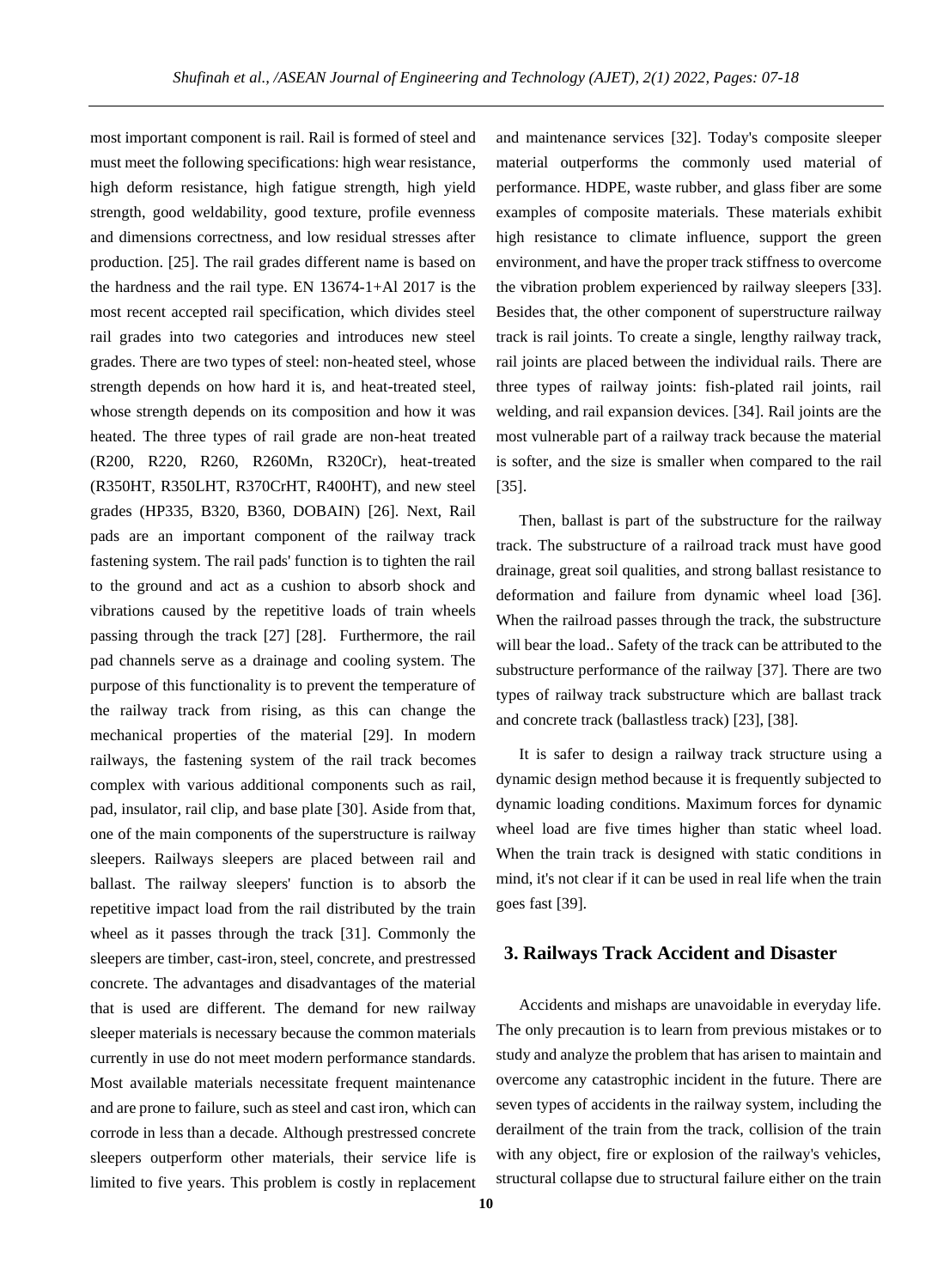most important component is rail. Rail is formed of steel and must meet the following specifications: high wear resistance, high deform resistance, high fatigue strength, high yield strength, good weldability, good texture, profile evenness and dimensions correctness, and low residual stresses after production. [25]. The rail grades different name is based on the hardness and the rail type. EN 13674-1+Al 2017 is the most recent accepted rail specification, which divides steel rail grades into two categories and introduces new steel grades. There are two types of steel: non-heated steel, whose strength depends on how hard it is, and heat-treated steel, whose strength depends on its composition and how it was heated. The three types of rail grade are non-heat treated (R200, R220, R260, R260Mn, R320Cr), heat-treated (R350HT, R350LHT, R370CrHT, R400HT), and new steel grades (HP335, B320, B360, DOBAIN) [26]. Next, Rail pads are an important component of the railway track fastening system. The rail pads' function is to tighten the rail to the ground and act as a cushion to absorb shock and vibrations caused by the repetitive loads of train wheels passing through the track [27] [28]. Furthermore, the rail pad channels serve as a drainage and cooling system. The purpose of this functionality is to prevent the temperature of the railway track from rising, as this can change the mechanical properties of the material [29]. In modern railways, the fastening system of the rail track becomes complex with various additional components such as rail, pad, insulator, rail clip, and base plate [30]. Aside from that, one of the main components of the superstructure is railway sleepers. Railways sleepers are placed between rail and ballast. The railway sleepers' function is to absorb the repetitive impact load from the rail distributed by the train wheel as it passes through the track [31]. Commonly the sleepers are timber, cast-iron, steel, concrete, and prestressed concrete. The advantages and disadvantages of the material that is used are different. The demand for new railway sleeper materials is necessary because the common materials currently in use do not meet modern performance standards. Most available materials necessitate frequent maintenance and are prone to failure, such as steel and cast iron, which can corrode in less than a decade. Although prestressed concrete sleepers outperform other materials, their service life is limited to five years. This problem is costly in replacement

and maintenance services [32]. Today's composite sleeper material outperforms the commonly used material of performance. HDPE, waste rubber, and glass fiber are some examples of composite materials. These materials exhibit high resistance to climate influence, support the green environment, and have the proper track stiffness to overcome the vibration problem experienced by railway sleepers [33]. Besides that, the other component of superstructure railway track is rail joints. To create a single, lengthy railway track, rail joints are placed between the individual rails. There are three types of railway joints: fish-plated rail joints, rail welding, and rail expansion devices. [34]. Rail joints are the most vulnerable part of a railway track because the material is softer, and the size is smaller when compared to the rail [35].

Then, ballast is part of the substructure for the railway track. The substructure of a railroad track must have good drainage, great soil qualities, and strong ballast resistance to deformation and failure from dynamic wheel load [36]. When the railroad passes through the track, the substructure will bear the load.. Safety of the track can be attributed to the substructure performance of the railway [37]. There are two types of railway track substructure which are ballast track and concrete track (ballastless track) [23], [38].

It is safer to design a railway track structure using a dynamic design method because it is frequently subjected to dynamic loading conditions. Maximum forces for dynamic wheel load are five times higher than static wheel load. When the train track is designed with static conditions in mind, it's not clear if it can be used in real life when the train goes fast [39].

#### **3. Railways Track Accident and Disaster**

Accidents and mishaps are unavoidable in everyday life. The only precaution is to learn from previous mistakes or to study and analyze the problem that has arisen to maintain and overcome any catastrophic incident in the future. There are seven types of accidents in the railway system, including the derailment of the train from the track, collision of the train with any object, fire or explosion of the railway's vehicles, structural collapse due to structural failure either on the train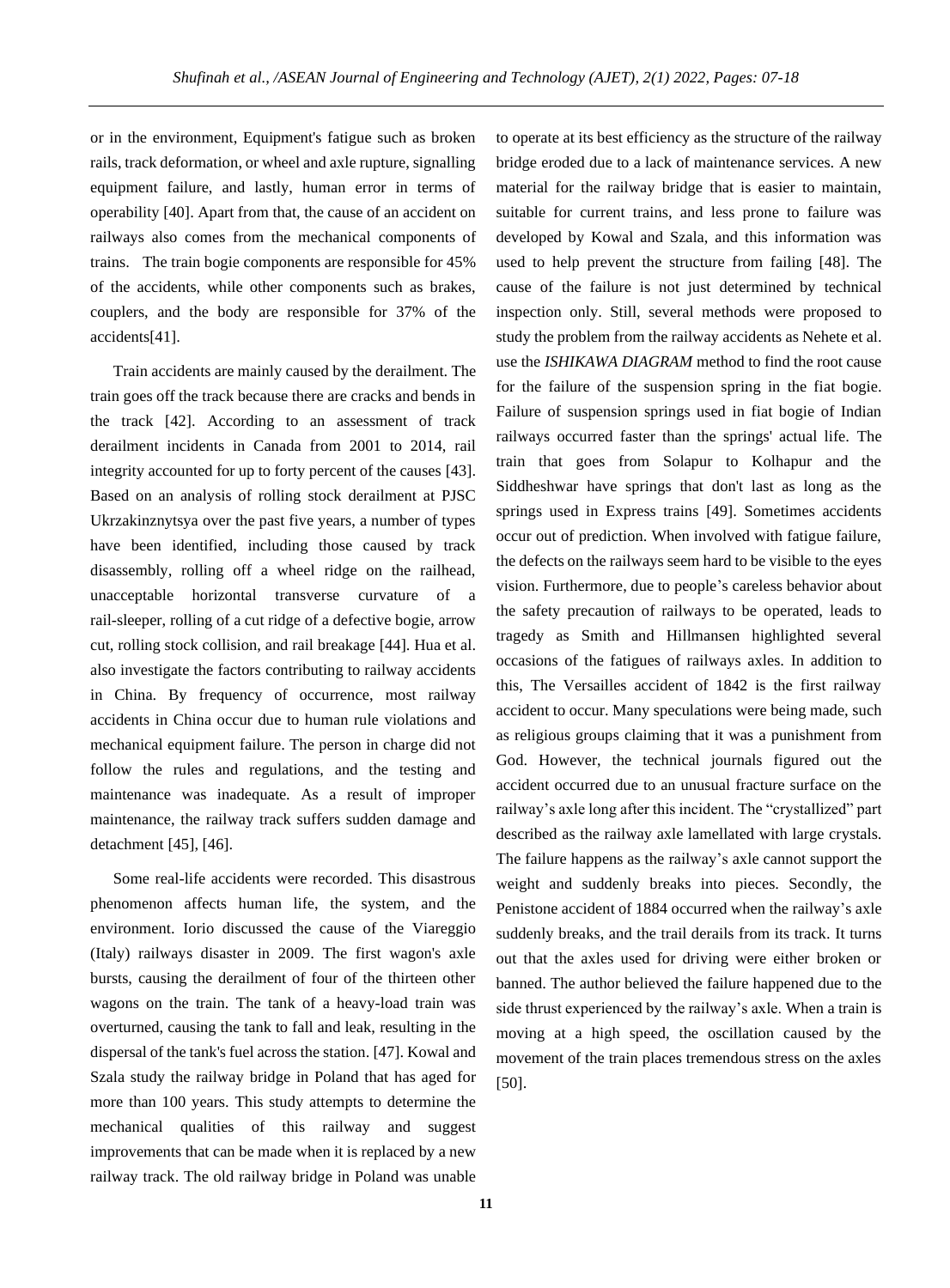or in the environment, Equipment's fatigue such as broken rails, track deformation, or wheel and axle rupture, signalling equipment failure, and lastly, human error in terms of operability [40]. Apart from that, the cause of an accident on railways also comes from the mechanical components of trains. The train bogie components are responsible for 45% of the accidents, while other components such as brakes, couplers, and the body are responsible for 37% of the accidents[41].

Train accidents are mainly caused by the derailment. The train goes off the track because there are cracks and bends in the track [42]. According to an assessment of track derailment incidents in Canada from 2001 to 2014, rail integrity accounted for up to forty percent of the causes [43]. Based on an analysis of rolling stock derailment at PJSC Ukrzakinznytsya over the past five years, a number of types have been identified, including those caused by track disassembly, rolling off a wheel ridge on the railhead, unacceptable horizontal transverse curvature of a rail-sleeper, rolling of a cut ridge of a defective bogie, arrow cut, rolling stock collision, and rail breakage [44]. Hua et al. also investigate the factors contributing to railway accidents in China. By frequency of occurrence, most railway accidents in China occur due to human rule violations and mechanical equipment failure. The person in charge did not follow the rules and regulations, and the testing and maintenance was inadequate. As a result of improper maintenance, the railway track suffers sudden damage and detachment [45], [46].

Some real-life accidents were recorded. This disastrous phenomenon affects human life, the system, and the environment. Iorio discussed the cause of the Viareggio (Italy) railways disaster in 2009. The first wagon's axle bursts, causing the derailment of four of the thirteen other wagons on the train. The tank of a heavy-load train was overturned, causing the tank to fall and leak, resulting in the dispersal of the tank's fuel across the station. [47]. Kowal and Szala study the railway bridge in Poland that has aged for more than 100 years. This study attempts to determine the mechanical qualities of this railway and suggest improvements that can be made when it is replaced by a new railway track. The old railway bridge in Poland was unable

to operate at its best efficiency as the structure of the railway bridge eroded due to a lack of maintenance services. A new material for the railway bridge that is easier to maintain, suitable for current trains, and less prone to failure was developed by Kowal and Szala, and this information was used to help prevent the structure from failing [48]. The cause of the failure is not just determined by technical inspection only. Still, several methods were proposed to study the problem from the railway accidents as Nehete et al. use the *ISHIKAWA DIAGRAM* method to find the root cause for the failure of the suspension spring in the fiat bogie. Failure of suspension springs used in fiat bogie of Indian railways occurred faster than the springs' actual life. The train that goes from Solapur to Kolhapur and the Siddheshwar have springs that don't last as long as the springs used in Express trains [49]. Sometimes accidents occur out of prediction. When involved with fatigue failure, the defects on the railways seem hard to be visible to the eyes vision. Furthermore, due to people's careless behavior about the safety precaution of railways to be operated, leads to tragedy as Smith and Hillmansen highlighted several occasions of the fatigues of railways axles. In addition to this, The Versailles accident of 1842 is the first railway accident to occur. Many speculations were being made, such as religious groups claiming that it was a punishment from God. However, the technical journals figured out the accident occurred due to an unusual fracture surface on the railway's axle long after this incident. The "crystallized" part described as the railway axle lamellated with large crystals. The failure happens as the railway's axle cannot support the weight and suddenly breaks into pieces. Secondly, the Penistone accident of 1884 occurred when the railway's axle suddenly breaks, and the trail derails from its track. It turns out that the axles used for driving were either broken or banned. The author believed the failure happened due to the side thrust experienced by the railway's axle. When a train is moving at a high speed, the oscillation caused by the movement of the train places tremendous stress on the axles [50].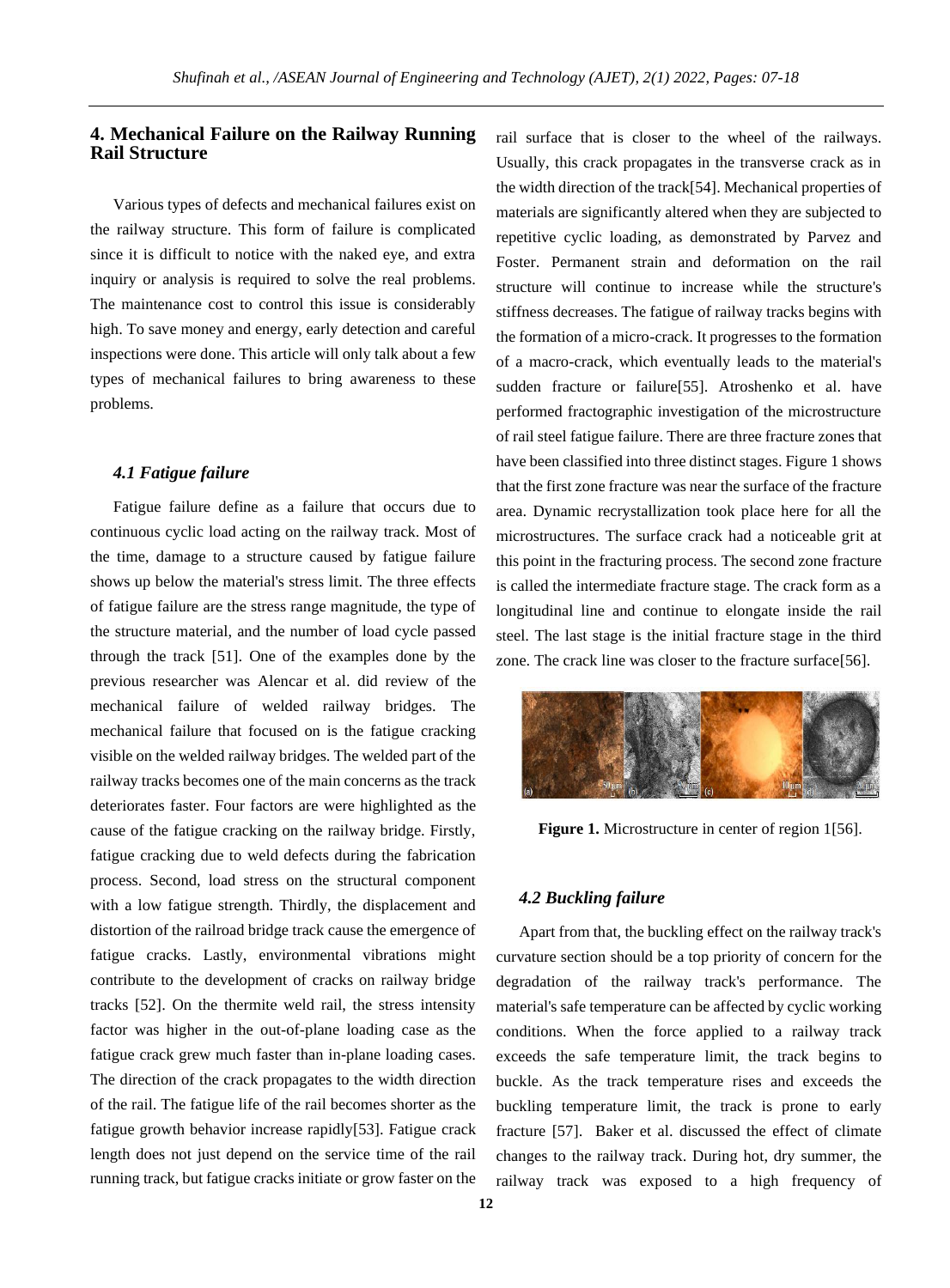## **4. Mechanical Failure on the Railway Running Rail Structure**

Various types of defects and mechanical failures exist on the railway structure. This form of failure is complicated since it is difficult to notice with the naked eye, and extra inquiry or analysis is required to solve the real problems. The maintenance cost to control this issue is considerably high. To save money and energy, early detection and careful inspections were done. This article will only talk about a few types of mechanical failures to bring awareness to these problems.

## *4.1 Fatigue failure*

Fatigue failure define as a failure that occurs due to continuous cyclic load acting on the railway track. Most of the time, damage to a structure caused by fatigue failure shows up below the material's stress limit. The three effects of fatigue failure are the stress range magnitude, the type of the structure material, and the number of load cycle passed through the track [51]. One of the examples done by the previous researcher was Alencar et al. did review of the mechanical failure of welded railway bridges. The mechanical failure that focused on is the fatigue cracking visible on the welded railway bridges. The welded part of the railway tracks becomes one of the main concerns as the track deteriorates faster. Four factors are were highlighted as the cause of the fatigue cracking on the railway bridge. Firstly, fatigue cracking due to weld defects during the fabrication process. Second, load stress on the structural component with a low fatigue strength. Thirdly, the displacement and distortion of the railroad bridge track cause the emergence of fatigue cracks. Lastly, environmental vibrations might contribute to the development of cracks on railway bridge tracks [52]. On the thermite weld rail, the stress intensity factor was higher in the out-of-plane loading case as the fatigue crack grew much faster than in-plane loading cases. The direction of the crack propagates to the width direction of the rail. The fatigue life of the rail becomes shorter as the fatigue growth behavior increase rapidly[53]. Fatigue crack length does not just depend on the service time of the rail running track, but fatigue cracks initiate or grow faster on the rail surface that is closer to the wheel of the railways. Usually, this crack propagates in the transverse crack as in the width direction of the track[54]. Mechanical properties of materials are significantly altered when they are subjected to repetitive cyclic loading, as demonstrated by Parvez and Foster. Permanent strain and deformation on the rail structure will continue to increase while the structure's stiffness decreases. The fatigue of railway tracks begins with the formation of a micro-crack. It progresses to the formation of a macro-crack, which eventually leads to the material's sudden fracture or failure[55]. Atroshenko et al. have performed fractographic investigation of the microstructure of rail steel fatigue failure. There are three fracture zones that have been classified into three distinct stages. Figure 1 shows that the first zone fracture was near the surface of the fracture area. Dynamic recrystallization took place here for all the microstructures. The surface crack had a noticeable grit at this point in the fracturing process. The second zone fracture is called the intermediate fracture stage. The crack form as a longitudinal line and continue to elongate inside the rail steel. The last stage is the initial fracture stage in the third zone. The crack line was closer to the fracture surface[56].



**Figure 1.** Microstructure in center of region 1[56].

## *4.2 Buckling failure*

Apart from that, the buckling effect on the railway track's curvature section should be a top priority of concern for the degradation of the railway track's performance. The material's safe temperature can be affected by cyclic working conditions. When the force applied to a railway track exceeds the safe temperature limit, the track begins to buckle. As the track temperature rises and exceeds the buckling temperature limit, the track is prone to early fracture [57]. Baker et al. discussed the effect of climate changes to the railway track. During hot, dry summer, the railway track was exposed to a high frequency of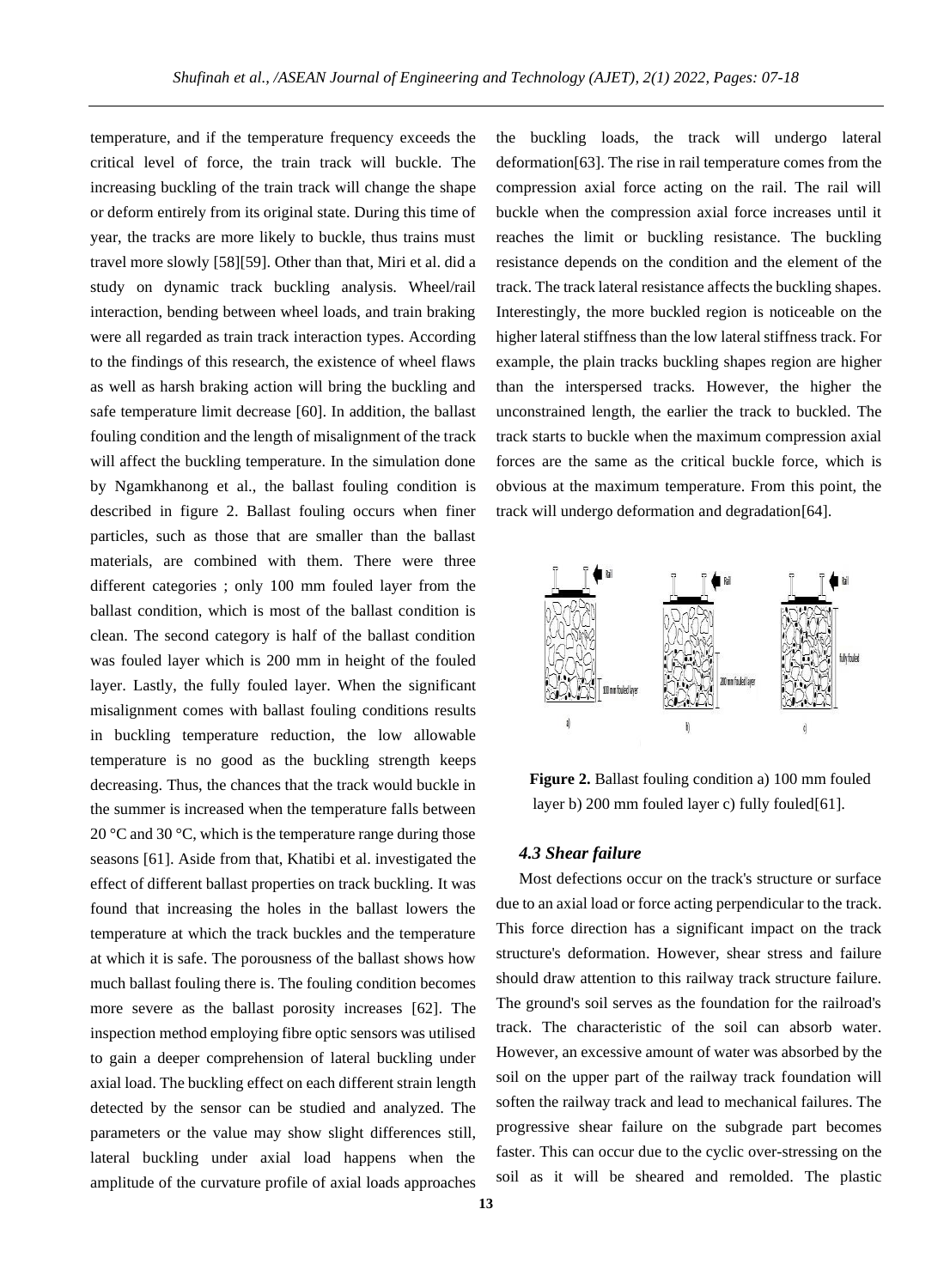temperature, and if the temperature frequency exceeds the critical level of force, the train track will buckle. The increasing buckling of the train track will change the shape or deform entirely from its original state. During this time of year, the tracks are more likely to buckle, thus trains must travel more slowly [58][59]. Other than that, Miri et al. did a study on dynamic track buckling analysis. Wheel/rail interaction, bending between wheel loads, and train braking were all regarded as train track interaction types. According to the findings of this research, the existence of wheel flaws as well as harsh braking action will bring the buckling and safe temperature limit decrease [60]. In addition, the ballast fouling condition and the length of misalignment of the track will affect the buckling temperature. In the simulation done by Ngamkhanong et al., the ballast fouling condition is described in figure 2. Ballast fouling occurs when finer particles, such as those that are smaller than the ballast materials, are combined with them. There were three different categories ; only 100 mm fouled layer from the ballast condition, which is most of the ballast condition is clean. The second category is half of the ballast condition was fouled layer which is 200 mm in height of the fouled layer. Lastly, the fully fouled layer. When the significant misalignment comes with ballast fouling conditions results in buckling temperature reduction, the low allowable temperature is no good as the buckling strength keeps decreasing. Thus, the chances that the track would buckle in the summer is increased when the temperature falls between 20 °C and 30 °C, which is the temperature range during those seasons [61]. Aside from that, Khatibi et al. investigated the effect of different ballast properties on track buckling. It was found that increasing the holes in the ballast lowers the temperature at which the track buckles and the temperature at which it is safe. The porousness of the ballast shows how much ballast fouling there is. The fouling condition becomes more severe as the ballast porosity increases [62]. The inspection method employing fibre optic sensors was utilised to gain a deeper comprehension of lateral buckling under axial load. The buckling effect on each different strain length detected by the sensor can be studied and analyzed. The parameters or the value may show slight differences still, lateral buckling under axial load happens when the amplitude of the curvature profile of axial loads approaches

the buckling loads, the track will undergo lateral deformation[63]. The rise in rail temperature comes from the compression axial force acting on the rail. The rail will buckle when the compression axial force increases until it reaches the limit or buckling resistance. The buckling resistance depends on the condition and the element of the track. The track lateral resistance affects the buckling shapes. Interestingly, the more buckled region is noticeable on the higher lateral stiffness than the low lateral stiffness track. For example, the plain tracks buckling shapes region are higher than the interspersed tracks. However, the higher the unconstrained length, the earlier the track to buckled. The track starts to buckle when the maximum compression axial forces are the same as the critical buckle force, which is obvious at the maximum temperature. From this point, the track will undergo deformation and degradation[64].





### *4.3 Shear failure*

Most defections occur on the track's structure or surface due to an axial load or force acting perpendicular to the track. This force direction has a significant impact on the track structure's deformation. However, shear stress and failure should draw attention to this railway track structure failure. The ground's soil serves as the foundation for the railroad's track. The characteristic of the soil can absorb water. However, an excessive amount of water was absorbed by the soil on the upper part of the railway track foundation will soften the railway track and lead to mechanical failures. The progressive shear failure on the subgrade part becomes faster. This can occur due to the cyclic over-stressing on the soil as it will be sheared and remolded. The plastic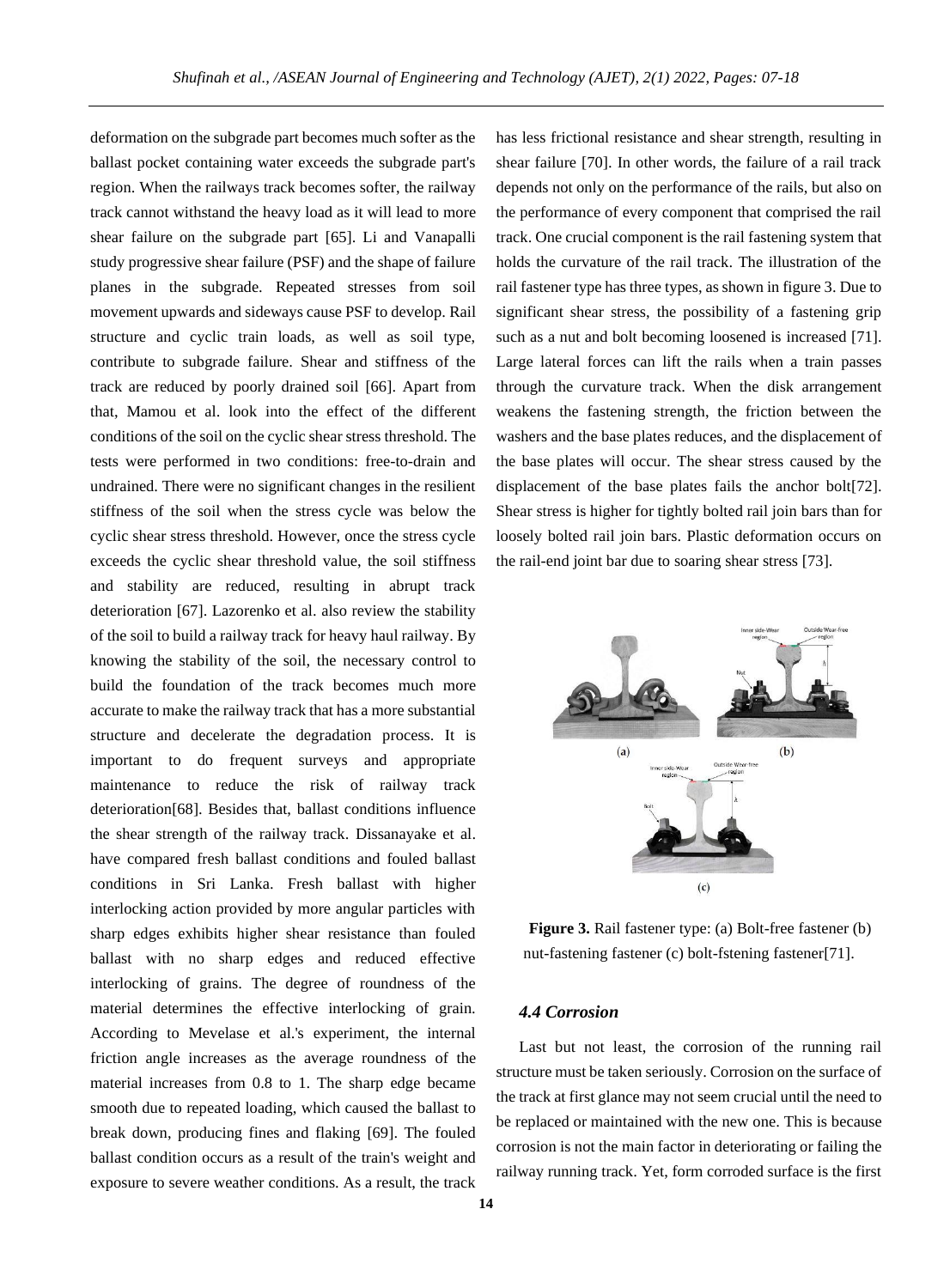deformation on the subgrade part becomes much softer as the ballast pocket containing water exceeds the subgrade part's region. When the railways track becomes softer, the railway track cannot withstand the heavy load as it will lead to more shear failure on the subgrade part [65]. Li and Vanapalli study progressive shear failure (PSF) and the shape of failure planes in the subgrade. Repeated stresses from soil movement upwards and sideways cause PSF to develop. Rail structure and cyclic train loads, as well as soil type, contribute to subgrade failure. Shear and stiffness of the track are reduced by poorly drained soil [66]. Apart from that, Mamou et al. look into the effect of the different conditions of the soil on the cyclic shear stress threshold. The tests were performed in two conditions: free-to-drain and undrained. There were no significant changes in the resilient stiffness of the soil when the stress cycle was below the cyclic shear stress threshold. However, once the stress cycle exceeds the cyclic shear threshold value, the soil stiffness and stability are reduced, resulting in abrupt track deterioration [67]. Lazorenko et al. also review the stability of the soil to build a railway track for heavy haul railway. By knowing the stability of the soil, the necessary control to build the foundation of the track becomes much more accurate to make the railway track that has a more substantial structure and decelerate the degradation process. It is important to do frequent surveys and appropriate maintenance to reduce the risk of railway track deterioration[68]. Besides that, ballast conditions influence the shear strength of the railway track. Dissanayake et al. have compared fresh ballast conditions and fouled ballast conditions in Sri Lanka. Fresh ballast with higher interlocking action provided by more angular particles with sharp edges exhibits higher shear resistance than fouled ballast with no sharp edges and reduced effective interlocking of grains. The degree of roundness of the material determines the effective interlocking of grain. According to Mevelase et al.'s experiment, the internal friction angle increases as the average roundness of the material increases from 0.8 to 1. The sharp edge became smooth due to repeated loading, which caused the ballast to break down, producing fines and flaking [69]. The fouled ballast condition occurs as a result of the train's weight and exposure to severe weather conditions. As a result, the track

has less frictional resistance and shear strength, resulting in shear failure [70]. In other words, the failure of a rail track depends not only on the performance of the rails, but also on the performance of every component that comprised the rail track. One crucial component is the rail fastening system that holds the curvature of the rail track. The illustration of the rail fastener type has three types, as shown in figure 3. Due to significant shear stress, the possibility of a fastening grip such as a nut and bolt becoming loosened is increased [71]. Large lateral forces can lift the rails when a train passes through the curvature track. When the disk arrangement weakens the fastening strength, the friction between the washers and the base plates reduces, and the displacement of the base plates will occur. The shear stress caused by the displacement of the base plates fails the anchor bolt[72]. Shear stress is higher for tightly bolted rail join bars than for loosely bolted rail join bars. Plastic deformation occurs on the rail-end joint bar due to soaring shear stress [73].



**Figure 3.** Rail fastener type: (a) Bolt-free fastener (b) nut-fastening fastener (c) bolt-fstening fastener[71].

#### *4.4 Corrosion*

Last but not least, the corrosion of the running rail structure must be taken seriously. Corrosion on the surface of the track at first glance may not seem crucial until the need to be replaced or maintained with the new one. This is because corrosion is not the main factor in deteriorating or failing the railway running track. Yet, form corroded surface is the first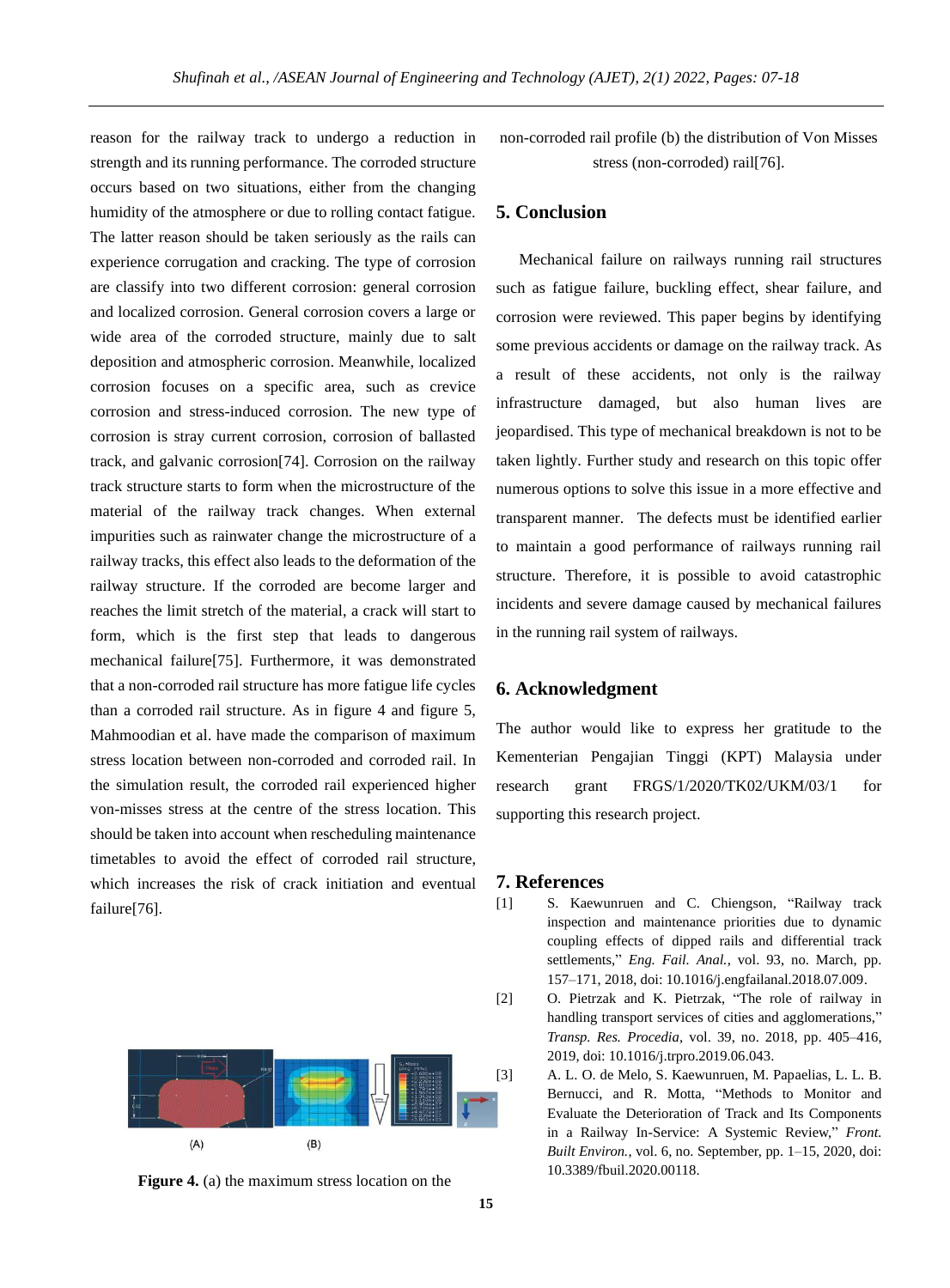reason for the railway track to undergo a reduction in strength and its running performance. The corroded structure occurs based on two situations, either from the changing humidity of the atmosphere or due to rolling contact fatigue. The latter reason should be taken seriously as the rails can experience corrugation and cracking. The type of corrosion are classify into two different corrosion: general corrosion and localized corrosion. General corrosion covers a large or wide area of the corroded structure, mainly due to salt deposition and atmospheric corrosion. Meanwhile, localized corrosion focuses on a specific area, such as crevice corrosion and stress-induced corrosion. The new type of corrosion is stray current corrosion, corrosion of ballasted track, and galvanic corrosion[74]. Corrosion on the railway track structure starts to form when the microstructure of the material of the railway track changes. When external impurities such as rainwater change the microstructure of a railway tracks, this effect also leads to the deformation of the railway structure. If the corroded are become larger and reaches the limit stretch of the material, a crack will start to form, which is the first step that leads to dangerous mechanical failure[75]. Furthermore, it was demonstrated that a non-corroded rail structure has more fatigue life cycles than a corroded rail structure. As in figure 4 and figure 5, Mahmoodian et al. have made the comparison of maximum stress location between non-corroded and corroded rail. In the simulation result, the corroded rail experienced higher von-misses stress at the centre of the stress location. This should be taken into account when rescheduling maintenance timetables to avoid the effect of corroded rail structure, which increases the risk of crack initiation and eventual failure[76].





non-corroded rail profile (b) the distribution of Von Misses stress (non-corroded) rail[76].

## **5. Conclusion**

Mechanical failure on railways running rail structures such as fatigue failure, buckling effect, shear failure, and corrosion were reviewed. This paper begins by identifying some previous accidents or damage on the railway track. As a result of these accidents, not only is the railway infrastructure damaged, but also human lives are jeopardised. This type of mechanical breakdown is not to be taken lightly. Further study and research on this topic offer numerous options to solve this issue in a more effective and transparent manner. The defects must be identified earlier to maintain a good performance of railways running rail structure. Therefore, it is possible to avoid catastrophic incidents and severe damage caused by mechanical failures in the running rail system of railways.

### **6. Acknowledgment**

The author would like to express her gratitude to the Kementerian Pengajian Tinggi (KPT) Malaysia under research grant FRGS/1/2020/TK02/UKM/03/1 for supporting this research project.

#### **7. References**

- [1] S. Kaewunruen and C. Chiengson, "Railway track inspection and maintenance priorities due to dynamic coupling effects of dipped rails and differential track settlements," *Eng. Fail. Anal.*, vol. 93, no. March, pp. 157–171, 2018, doi: 10.1016/j.engfailanal.2018.07.009.
- [2] O. Pietrzak and K. Pietrzak, "The role of railway in handling transport services of cities and agglomerations," *Transp. Res. Procedia*, vol. 39, no. 2018, pp. 405–416, 2019, doi: 10.1016/j.trpro.2019.06.043.
- [3] A. L. O. de Melo, S. Kaewunruen, M. Papaelias, L. L. B. Bernucci, and R. Motta, "Methods to Monitor and Evaluate the Deterioration of Track and Its Components in a Railway In-Service: A Systemic Review," *Front. Built Environ.*, vol. 6, no. September, pp. 1–15, 2020, doi: 10.3389/fbuil.2020.00118.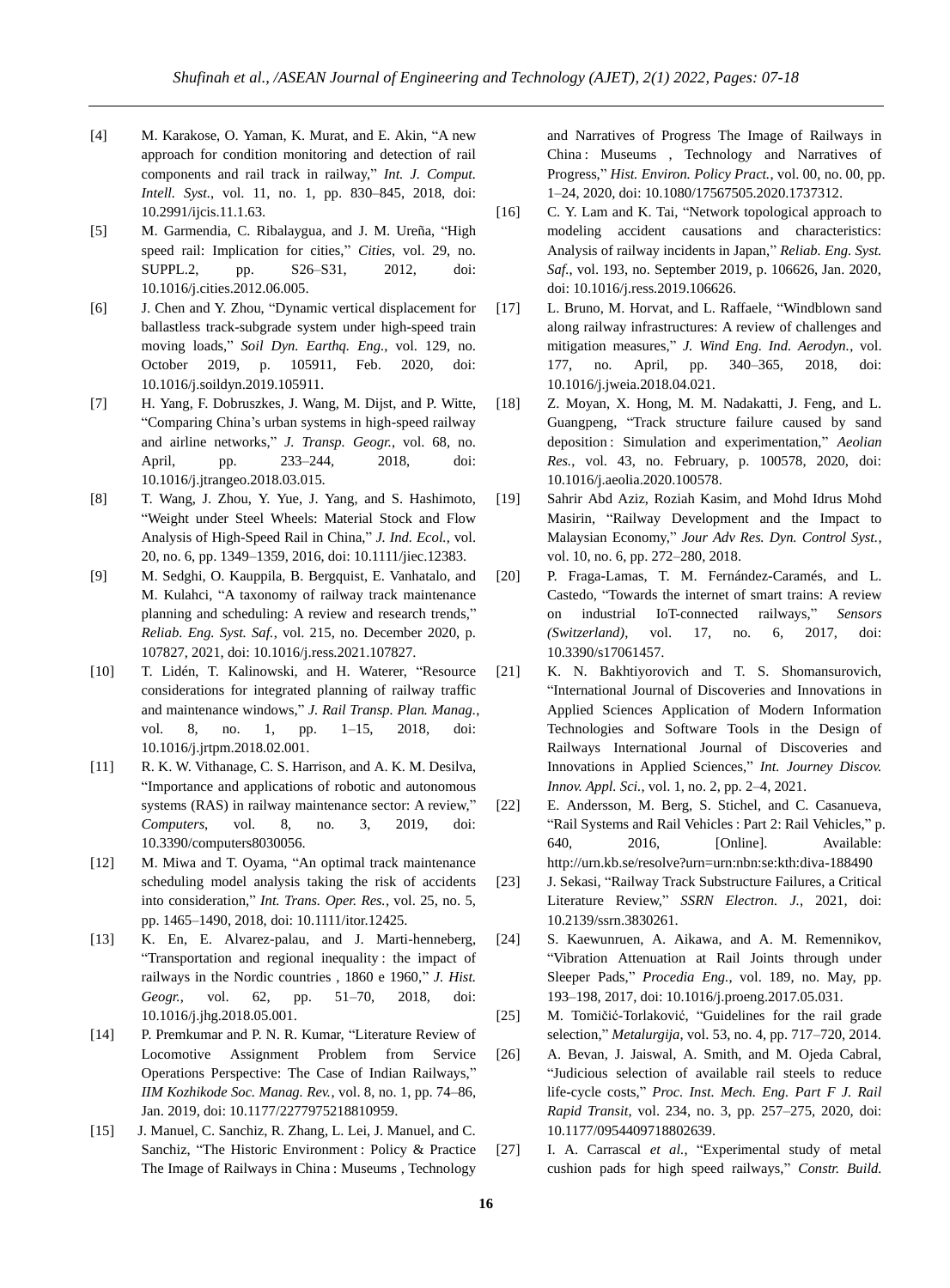- [4] M. Karakose, O. Yaman, K. Murat, and E. Akin, "A new approach for condition monitoring and detection of rail components and rail track in railway," *Int. J. Comput. Intell. Syst.*, vol. 11, no. 1, pp. 830–845, 2018, doi: 10.2991/ijcis.11.1.63.
- [5] M. Garmendia, C. Ribalaygua, and J. M. Ureña, "High speed rail: Implication for cities," *Cities*, vol. 29, no. SUPPL.2, pp. S26–S31, 2012, doi: 10.1016/j.cities.2012.06.005.
- [6] J. Chen and Y. Zhou, "Dynamic vertical displacement for ballastless track-subgrade system under high-speed train moving loads," *Soil Dyn. Earthq. Eng.*, vol. 129, no. October 2019, p. 105911, Feb. 2020, doi: 10.1016/j.soildyn.2019.105911.
- [7] H. Yang, F. Dobruszkes, J. Wang, M. Dijst, and P. Witte, "Comparing China's urban systems in high-speed railway and airline networks," *J. Transp. Geogr.*, vol. 68, no. April, pp. 233–244, 2018, doi: 10.1016/j.jtrangeo.2018.03.015.
- [8] T. Wang, J. Zhou, Y. Yue, J. Yang, and S. Hashimoto, "Weight under Steel Wheels: Material Stock and Flow Analysis of High-Speed Rail in China," *J. Ind. Ecol.*, vol. 20, no. 6, pp. 1349–1359, 2016, doi: 10.1111/jiec.12383.
- [9] M. Sedghi, O. Kauppila, B. Bergquist, E. Vanhatalo, and M. Kulahci, "A taxonomy of railway track maintenance planning and scheduling: A review and research trends," *Reliab. Eng. Syst. Saf.*, vol. 215, no. December 2020, p. 107827, 2021, doi: 10.1016/j.ress.2021.107827.
- [10] T. Lidén, T. Kalinowski, and H. Waterer, "Resource considerations for integrated planning of railway traffic and maintenance windows," *J. Rail Transp. Plan. Manag.*, vol. 8, no. 1, pp. 1–15, 2018, doi: 10.1016/j.jrtpm.2018.02.001.
- [11] R. K. W. Vithanage, C. S. Harrison, and A. K. M. Desilva, "Importance and applications of robotic and autonomous systems (RAS) in railway maintenance sector: A review," *Computers*, vol. 8, no. 3, 2019, doi: 10.3390/computers8030056.
- [12] M. Miwa and T. Oyama, "An optimal track maintenance scheduling model analysis taking the risk of accidents into consideration," *Int. Trans. Oper. Res.*, vol. 25, no. 5, pp. 1465–1490, 2018, doi: 10.1111/itor.12425.
- [13] K. En, E. Alvarez-palau, and J. Marti-henneberg, "Transportation and regional inequality : the impact of railways in the Nordic countries , 1860 e 1960," *J. Hist. Geogr.*, vol. 62, pp. 51–70, 2018, doi: 10.1016/j.jhg.2018.05.001.
- [14] P. Premkumar and P. N. R. Kumar, "Literature Review of Locomotive Assignment Problem from Service Operations Perspective: The Case of Indian Railways," *IIM Kozhikode Soc. Manag. Rev.*, vol. 8, no. 1, pp. 74–86, Jan. 2019, doi: 10.1177/2277975218810959.
- [15] J. Manuel, C. Sanchiz, R. Zhang, L. Lei, J. Manuel, and C. Sanchiz, "The Historic Environment : Policy & Practice The Image of Railways in China : Museums , Technology

and Narratives of Progress The Image of Railways in China : Museums , Technology and Narratives of Progress," *Hist. Environ. Policy Pract.*, vol. 00, no. 00, pp. 1–24, 2020, doi: 10.1080/17567505.2020.1737312.

- [16] C. Y. Lam and K. Tai, "Network topological approach to modeling accident causations and characteristics: Analysis of railway incidents in Japan," *Reliab. Eng. Syst. Saf.*, vol. 193, no. September 2019, p. 106626, Jan. 2020, doi: 10.1016/j.ress.2019.106626.
- [17] L. Bruno, M. Horvat, and L. Raffaele, "Windblown sand along railway infrastructures: A review of challenges and mitigation measures," *J. Wind Eng. Ind. Aerodyn.*, vol. 177, no. April, pp. 340–365, 2018, doi: 10.1016/j.jweia.2018.04.021.
- [18] Z. Moyan, X. Hong, M. M. Nadakatti, J. Feng, and L. Guangpeng, "Track structure failure caused by sand deposition : Simulation and experimentation," *Aeolian Res.*, vol. 43, no. February, p. 100578, 2020, doi: 10.1016/j.aeolia.2020.100578.
- [19] Sahrir Abd Aziz, Roziah Kasim, and Mohd Idrus Mohd Masirin, "Railway Development and the Impact to Malaysian Economy," *Jour Adv Res. Dyn. Control Syst.*, vol. 10, no. 6, pp. 272–280, 2018.
- [20] P. Fraga-Lamas, T. M. Fernández-Caramés, and L. Castedo, "Towards the internet of smart trains: A review on industrial IoT-connected railways," *Sensors (Switzerland)*, vol. 17, no. 6, 2017, doi: 10.3390/s17061457.
- [21] K. N. Bakhtiyorovich and T. S. Shomansurovich, "International Journal of Discoveries and Innovations in Applied Sciences Application of Modern Information Technologies and Software Tools in the Design of Railways International Journal of Discoveries and Innovations in Applied Sciences," *Int. Journey Discov. Innov. Appl. Sci.*, vol. 1, no. 2, pp. 2–4, 2021.
- [22] E. Andersson, M. Berg, S. Stichel, and C. Casanueva, "Rail Systems and Rail Vehicles : Part 2: Rail Vehicles," p. 640, 2016, [Online]. Available: http://urn.kb.se/resolve?urn=urn:nbn:se:kth:diva-188490
- [23] J. Sekasi, "Railway Track Substructure Failures, a Critical Literature Review," *SSRN Electron. J.*, 2021, doi: 10.2139/ssrn.3830261.
- [24] S. Kaewunruen, A. Aikawa, and A. M. Remennikov, "Vibration Attenuation at Rail Joints through under Sleeper Pads," *Procedia Eng.*, vol. 189, no. May, pp. 193–198, 2017, doi: 10.1016/j.proeng.2017.05.031.
- [25] M. Tomičić-Torlaković, "Guidelines for the rail grade selection," *Metalurgija*, vol. 53, no. 4, pp. 717–720, 2014.
- [26] A. Bevan, J. Jaiswal, A. Smith, and M. Ojeda Cabral, "Judicious selection of available rail steels to reduce life-cycle costs," *Proc. Inst. Mech. Eng. Part F J. Rail Rapid Transit*, vol. 234, no. 3, pp. 257–275, 2020, doi: 10.1177/0954409718802639.
- [27] I. A. Carrascal *et al.*, "Experimental study of metal cushion pads for high speed railways," *Constr. Build.*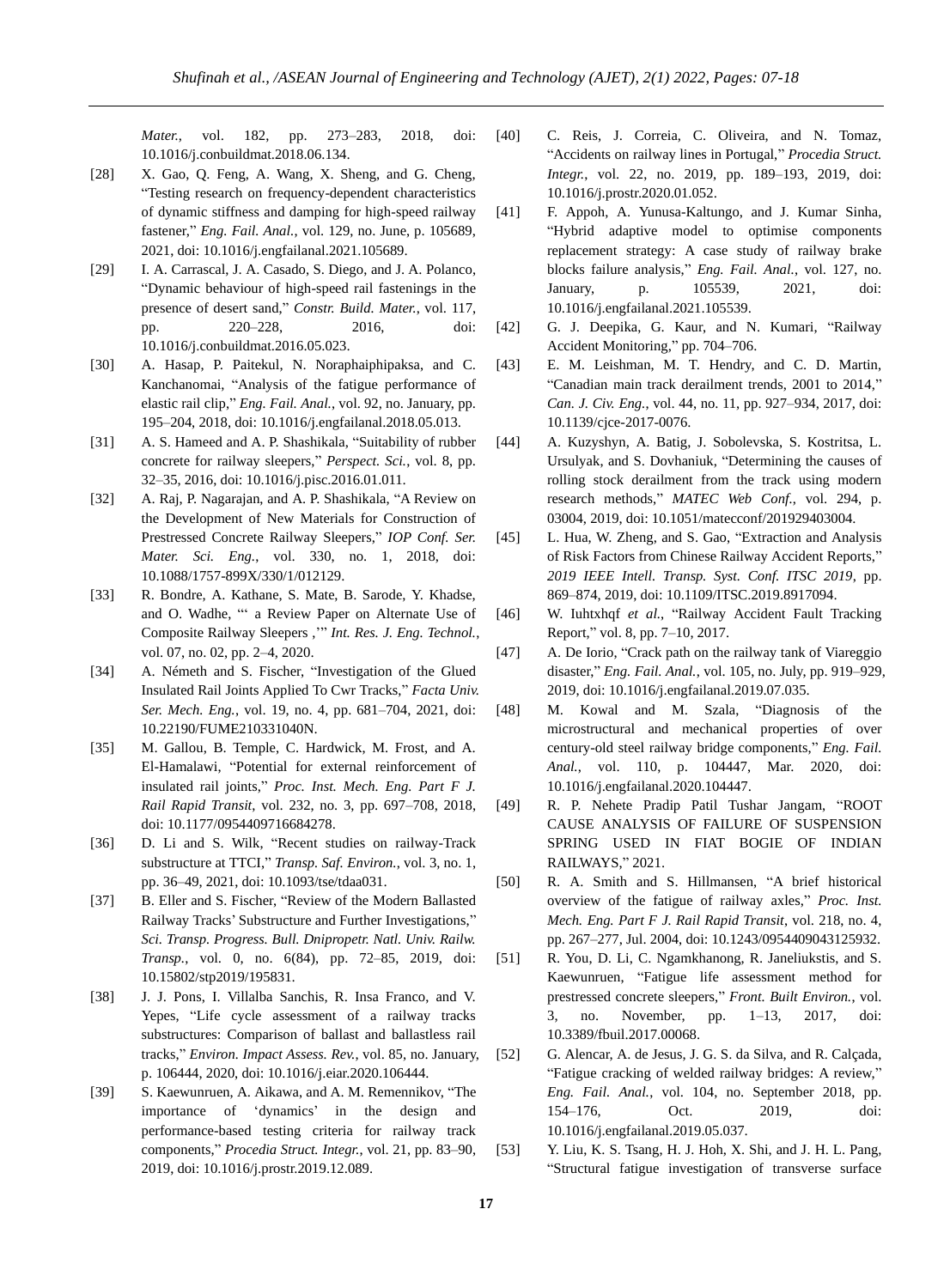*Mater.*, vol. 182, pp. 273–283, 2018, doi: 10.1016/j.conbuildmat.2018.06.134.

- [28] X. Gao, Q. Feng, A. Wang, X. Sheng, and G. Cheng, "Testing research on frequency-dependent characteristics of dynamic stiffness and damping for high-speed railway fastener," *Eng. Fail. Anal.*, vol. 129, no. June, p. 105689, 2021, doi: 10.1016/j.engfailanal.2021.105689.
- [29] I. A. Carrascal, J. A. Casado, S. Diego, and J. A. Polanco, "Dynamic behaviour of high-speed rail fastenings in the presence of desert sand," *Constr. Build. Mater.*, vol. 117, pp. 220–228, 2016, doi: 10.1016/j.conbuildmat.2016.05.023.
- [30] A. Hasap, P. Paitekul, N. Noraphaiphipaksa, and C. Kanchanomai, "Analysis of the fatigue performance of elastic rail clip," *Eng. Fail. Anal.*, vol. 92, no. January, pp. 195–204, 2018, doi: 10.1016/j.engfailanal.2018.05.013.
- [31] A. S. Hameed and A. P. Shashikala, "Suitability of rubber concrete for railway sleepers," *Perspect. Sci.*, vol. 8, pp. 32–35, 2016, doi: 10.1016/j.pisc.2016.01.011.
- [32] A. Raj, P. Nagarajan, and A. P. Shashikala, "A Review on the Development of New Materials for Construction of Prestressed Concrete Railway Sleepers," *IOP Conf. Ser. Mater. Sci. Eng.*, vol. 330, no. 1, 2018, doi: 10.1088/1757-899X/330/1/012129.
- [33] R. Bondre, A. Kathane, S. Mate, B. Sarode, Y. Khadse, and O. Wadhe, "' a Review Paper on Alternate Use of Composite Railway Sleepers ,'" *Int. Res. J. Eng. Technol.*, vol. 07, no. 02, pp. 2–4, 2020.
- [34] A. Németh and S. Fischer, "Investigation of the Glued Insulated Rail Joints Applied To Cwr Tracks," *Facta Univ. Ser. Mech. Eng.*, vol. 19, no. 4, pp. 681–704, 2021, doi: 10.22190/FUME210331040N.
- [35] M. Gallou, B. Temple, C. Hardwick, M. Frost, and A. El-Hamalawi, "Potential for external reinforcement of insulated rail joints," *Proc. Inst. Mech. Eng. Part F J. Rail Rapid Transit*, vol. 232, no. 3, pp. 697–708, 2018, doi: 10.1177/0954409716684278.
- [36] D. Li and S. Wilk, "Recent studies on railway-Track substructure at TTCI," *Transp. Saf. Environ.*, vol. 3, no. 1, pp. 36–49, 2021, doi: 10.1093/tse/tdaa031.
- [37] B. Eller and S. Fischer, "Review of the Modern Ballasted Railway Tracks' Substructure and Further Investigations," *Sci. Transp. Progress. Bull. Dnipropetr. Natl. Univ. Railw. Transp.*, vol. 0, no. 6(84), pp. 72–85, 2019, doi: 10.15802/stp2019/195831.
- [38] J. J. Pons, I. Villalba Sanchis, R. Insa Franco, and V. Yepes, "Life cycle assessment of a railway tracks substructures: Comparison of ballast and ballastless rail tracks," *Environ. Impact Assess. Rev.*, vol. 85, no. January, p. 106444, 2020, doi: 10.1016/j.eiar.2020.106444.
- [39] S. Kaewunruen, A. Aikawa, and A. M. Remennikov, "The importance of 'dynamics' in the design and performance-based testing criteria for railway track components," *Procedia Struct. Integr.*, vol. 21, pp. 83–90, 2019, doi: 10.1016/j.prostr.2019.12.089.
- [40] C. Reis, J. Correia, C. Oliveira, and N. Tomaz, "Accidents on railway lines in Portugal," *Procedia Struct. Integr.*, vol. 22, no. 2019, pp. 189–193, 2019, doi: 10.1016/j.prostr.2020.01.052.
- [41] F. Appoh, A. Yunusa-Kaltungo, and J. Kumar Sinha, "Hybrid adaptive model to optimise components replacement strategy: A case study of railway brake blocks failure analysis," *Eng. Fail. Anal.*, vol. 127, no. January, p. 105539, 2021, doi: 10.1016/j.engfailanal.2021.105539.
- [42] G. J. Deepika, G. Kaur, and N. Kumari, "Railway Accident Monitoring," pp. 704–706.
- [43] E. M. Leishman, M. T. Hendry, and C. D. Martin, "Canadian main track derailment trends, 2001 to 2014," *Can. J. Civ. Eng.*, vol. 44, no. 11, pp. 927–934, 2017, doi: 10.1139/cjce-2017-0076.
- [44] A. Kuzyshyn, A. Batig, J. Sobolevska, S. Kostritsa, L. Ursulyak, and S. Dovhaniuk, "Determining the causes of rolling stock derailment from the track using modern research methods," *MATEC Web Conf.*, vol. 294, p. 03004, 2019, doi: 10.1051/matecconf/201929403004.
- [45] L. Hua, W. Zheng, and S. Gao, "Extraction and Analysis of Risk Factors from Chinese Railway Accident Reports," *2019 IEEE Intell. Transp. Syst. Conf. ITSC 2019*, pp. 869–874, 2019, doi: 10.1109/ITSC.2019.8917094.
- [46] W. Iuhtxhqf *et al.*, "Railway Accident Fault Tracking Report," vol. 8, pp. 7–10, 2017.
- [47] A. De Iorio, "Crack path on the railway tank of Viareggio disaster," *Eng. Fail. Anal.*, vol. 105, no. July, pp. 919–929, 2019, doi: 10.1016/j.engfailanal.2019.07.035.
- [48] M. Kowal and M. Szala, "Diagnosis of the microstructural and mechanical properties of over century-old steel railway bridge components," *Eng. Fail. Anal.*, vol. 110, p. 104447, Mar. 2020, doi: 10.1016/j.engfailanal.2020.104447.
- [49] R. P. Nehete Pradip Patil Tushar Jangam, "ROOT CAUSE ANALYSIS OF FAILURE OF SUSPENSION SPRING USED IN FIAT BOGIE OF INDIAN RAILWAYS," 2021.
- [50] R. A. Smith and S. Hillmansen, "A brief historical overview of the fatigue of railway axles," *Proc. Inst. Mech. Eng. Part F J. Rail Rapid Transit*, vol. 218, no. 4, pp. 267–277, Jul. 2004, doi: 10.1243/0954409043125932.
- [51] R. You, D. Li, C. Ngamkhanong, R. Janeliukstis, and S. Kaewunruen, "Fatigue life assessment method for prestressed concrete sleepers," *Front. Built Environ.*, vol. 3, no. November, pp. 1–13, 2017, doi: 10.3389/fbuil.2017.00068.
- [52] G. Alencar, A. de Jesus, J. G. S. da Silva, and R. Calçada, "Fatigue cracking of welded railway bridges: A review," *Eng. Fail. Anal.*, vol. 104, no. September 2018, pp. 154–176, Oct. 2019, doi: 10.1016/j.engfailanal.2019.05.037.
- [53] Y. Liu, K. S. Tsang, H. J. Hoh, X. Shi, and J. H. L. Pang, "Structural fatigue investigation of transverse surface